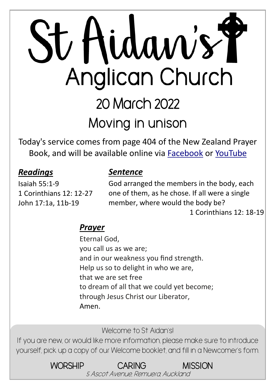# St Hidaw's Y Anglican Church 20 March 2022 **Moving in unison**

Today's service comes from page 404 of the New Zealand Prayer Book, and will be available online via **[Facebook](https://www.facebook.com/StAidansRemuera/)** or [YouTube](https://www.youtube.com/channel/UCp1KTUD3GRs20GGAFeAZ7fQ)

#### *Readings*

#### *Sentence*

Isaiah 55:1-9 1 Corinthians 12: 12-27 John 17:1a, 11b-19

God arranged the members in the body, each one of them, as he chose. If all were a single member, where would the body be? 1 Corinthians 12: 18-19

#### *Prayer*

Eternal God, you call us as we are; and in our weakness you find strength. Help us so to delight in who we are, that we are set free to dream of all that we could yet become; through Jesus Christ our Liberator, Amen.

Welcome to St Aidan's!

If you are new, or would like more information, please make sure to introduce yourself, pick up a copy of our Welcome booklet, and fill in a Newcomer's form.

> WORSHIP CARING MISSION 5 Ascot Avenue, Remuera, Auckland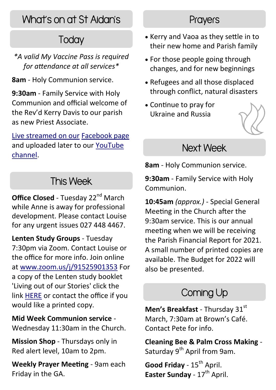# What's on at St Aidan's

# **Today**

*\*A valid My Vaccine Pass is required for attendance at all services\**

**8am** - Holy Communion service.

**9:30am** - Family Service with Holy Communion and official welcome of the Rev'd Kerry Davis to our parish as new Priest Associate.

[Live streamed on our](https://www.facebook.com/StAidansRemuera/) [Facebook page](https://www.facebook.com/StAidansRemuera/) and uploaded later to our [YouTube](https://www.youtube.com/channel/UCp1KTUD3GRs20GGAFeAZ7fQ)  [channel.](https://www.youtube.com/channel/UCp1KTUD3GRs20GGAFeAZ7fQ)

# This Week

**Office Closed - Tuesday 22<sup>nd</sup> March** while Anne is away for professional development. Please contact Louise for any urgent issues 027 448 4467.

**Lenten Study Groups** - Tuesday 7:30pm via Zoom. Contact Louise or the office for more info. Join online at [www.zoom.us/j/91525901353](https://zoom.us/j/91525901353) For a copy of the Lenten study booklet 'Living out of our Stories' click the link [HERE](https://www.staidans.co.nz/wp-content/uploads/2022/02/Living_out_of_our_stories_final_Waiapu_2022.pdf) or contact the office if you would like a printed copy.

**Mid Week Communion service** - Wednesday 11:30am in the Church.

**Mission Shop** - Thursdays only in Red alert level, 10am to 2pm.

**Weekly Prayer Meeting** - 9am each Friday in the GA.

#### **Prayers**

- Kerry and Vaoa as they settle in to their new home and Parish family
- For those people going through changes, and for new beginnings
- Refugees and all those displaced through conflict, natural disasters
- Continue to pray for Ukraine and Russia



#### Next Week

**8am** - Holy Communion service.

**9:30am** - Family Service with Holy Communion.

**10:45am** *(approx.)* - Special General Meeting in the Church after the 9:30am service. This is our annual meeting when we will be receiving the Parish Financial Report for 2021. A small number of printed copies are available. The Budget for 2022 will also be presented.

# Coming Up

Men's Breakfast - Thursdav 31st March, 7:30am at Brown's Café. Contact Pete for info.

**Cleaning Bee & Palm Cross Making** - Saturday 9<sup>th</sup> April from 9am.

Good Friday - 15<sup>th</sup> April. **Easter Sunday - 17<sup>th</sup> April.**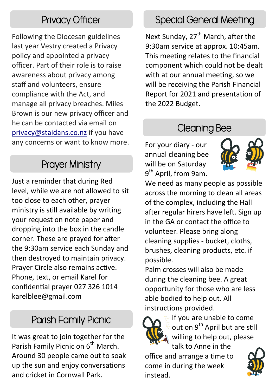Following the Diocesan guidelines last year Vestry created a Privacy policy and appointed a privacy officer. Part of their role is to raise awareness about privacy among staff and volunteers, ensure compliance with the Act, and manage all privacy breaches. Miles Brown is our new privacy officer and he can be contacted via email on [privacy@staidans.co.nz](mailto:privacy@staidans.co.nz) if you have any concerns or want to know more.

#### Prayer Ministry

Just a reminder that during Red level, while we are not allowed to sit too close to each other, prayer ministry is still available by writing your request on note paper and dropping into the box in the candle corner. These are prayed for after the 9:30am service each Sunday and then destroyed to maintain privacy. Prayer Circle also remains active. Phone, text, or email Karel for confidential prayer 027 326 1014 karelblee@gmail.com

# Parish Family Picnic

It was great to join together for the Parish Family Picnic on 6<sup>th</sup> March. Around 30 people came out to soak up the sun and enjoy conversations and cricket in Cornwall Park.

#### Privacy Officer Special General Meeting

Next Sunday, 27<sup>th</sup> March, after the 9:30am service at approx. 10:45am. This meeting relates to the financial component which could not be dealt with at our annual meeting, so we will be receiving the Parish Financial Report for 2021 and presentation of the 2022 Budget.

#### Cleaning Bee

For your diary - our annual cleaning bee will be on Saturday 9<sup>th</sup> April, from 9am.



We need as many people as possible across the morning to clean all areas of the complex, including the Hall after regular hirers have left. Sign up in the GA or contact the office to volunteer. Please bring along cleaning supplies - bucket, cloths, brushes, cleaning products, etc. if possible.

Palm crosses will also be made during the cleaning bee. A great opportunity for those who are less able bodied to help out. All instructions provided.



If you are unable to come out on 9<sup>th</sup> April but are still willing to help out, please talk to Anne in the

office and arrange a time to come in during the week instead.